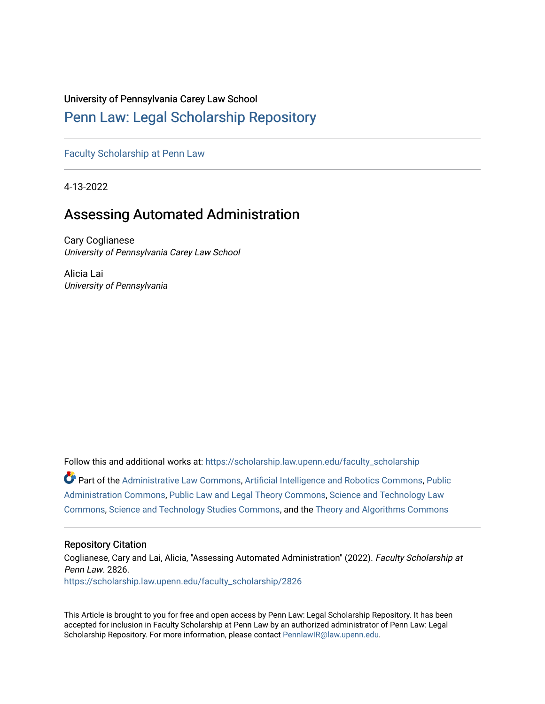# University of Pennsylvania Carey Law School

# [Penn Law: Legal Scholarship Repository](https://scholarship.law.upenn.edu/)

[Faculty Scholarship at Penn Law](https://scholarship.law.upenn.edu/faculty_scholarship)

4-13-2022

# Assessing Automated Administration

Cary Coglianese University of Pennsylvania Carey Law School

Alicia Lai University of Pennsylvania

Follow this and additional works at: [https://scholarship.law.upenn.edu/faculty\\_scholarship](https://scholarship.law.upenn.edu/faculty_scholarship?utm_source=scholarship.law.upenn.edu%2Ffaculty_scholarship%2F2826&utm_medium=PDF&utm_campaign=PDFCoverPages)  Part of the [Administrative Law Commons,](http://network.bepress.com/hgg/discipline/579?utm_source=scholarship.law.upenn.edu%2Ffaculty_scholarship%2F2826&utm_medium=PDF&utm_campaign=PDFCoverPages) [Artificial Intelligence and Robotics Commons](http://network.bepress.com/hgg/discipline/143?utm_source=scholarship.law.upenn.edu%2Ffaculty_scholarship%2F2826&utm_medium=PDF&utm_campaign=PDFCoverPages), [Public](http://network.bepress.com/hgg/discipline/398?utm_source=scholarship.law.upenn.edu%2Ffaculty_scholarship%2F2826&utm_medium=PDF&utm_campaign=PDFCoverPages)  [Administration Commons,](http://network.bepress.com/hgg/discipline/398?utm_source=scholarship.law.upenn.edu%2Ffaculty_scholarship%2F2826&utm_medium=PDF&utm_campaign=PDFCoverPages) [Public Law and Legal Theory Commons](http://network.bepress.com/hgg/discipline/871?utm_source=scholarship.law.upenn.edu%2Ffaculty_scholarship%2F2826&utm_medium=PDF&utm_campaign=PDFCoverPages), [Science and Technology Law](http://network.bepress.com/hgg/discipline/875?utm_source=scholarship.law.upenn.edu%2Ffaculty_scholarship%2F2826&utm_medium=PDF&utm_campaign=PDFCoverPages)  [Commons](http://network.bepress.com/hgg/discipline/875?utm_source=scholarship.law.upenn.edu%2Ffaculty_scholarship%2F2826&utm_medium=PDF&utm_campaign=PDFCoverPages), [Science and Technology Studies Commons,](http://network.bepress.com/hgg/discipline/435?utm_source=scholarship.law.upenn.edu%2Ffaculty_scholarship%2F2826&utm_medium=PDF&utm_campaign=PDFCoverPages) and the [Theory and Algorithms Commons](http://network.bepress.com/hgg/discipline/151?utm_source=scholarship.law.upenn.edu%2Ffaculty_scholarship%2F2826&utm_medium=PDF&utm_campaign=PDFCoverPages)

#### Repository Citation

Coglianese, Cary and Lai, Alicia, "Assessing Automated Administration" (2022). Faculty Scholarship at Penn Law. 2826. [https://scholarship.law.upenn.edu/faculty\\_scholarship/2826](https://scholarship.law.upenn.edu/faculty_scholarship/2826?utm_source=scholarship.law.upenn.edu%2Ffaculty_scholarship%2F2826&utm_medium=PDF&utm_campaign=PDFCoverPages)

This Article is brought to you for free and open access by Penn Law: Legal Scholarship Repository. It has been accepted for inclusion in Faculty Scholarship at Penn Law by an authorized administrator of Penn Law: Legal Scholarship Repository. For more information, please contact [PennlawIR@law.upenn.edu.](mailto:PennlawIR@law.upenn.edu)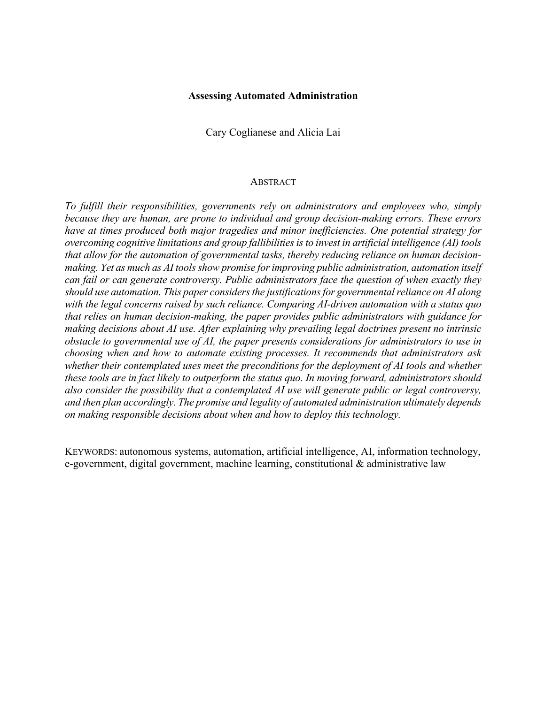### **Assessing Automated Administration**

Cary Coglianese and Alicia Lai

## **ABSTRACT**

*To fulfill their responsibilities, governments rely on administrators and employees who, simply because they are human, are prone to individual and group decision-making errors. These errors have at times produced both major tragedies and minor inefficiencies. One potential strategy for overcoming cognitive limitations and group fallibilitiesisto invest in artificial intelligence (AI) tools that allow for the automation of governmental tasks, thereby reducing reliance on human decisionmaking. Yet as much as AI tools show promise for improving public administration, automation itself can fail or can generate controversy. Public administrators face the question of when exactly they should use automation. This paper considers the justifications for governmental reliance on AI along with the legal concerns raised by such reliance. Comparing AI-driven automation with a status quo that relies on human decision-making, the paper provides public administrators with guidance for making decisions about AI use. After explaining why prevailing legal doctrines present no intrinsic obstacle to governmental use of AI, the paper presents considerations for administrators to use in choosing when and how to automate existing processes. It recommends that administrators ask whether their contemplated uses meet the preconditions for the deployment of AI tools and whether these tools are in fact likely to outperform the status quo. In moving forward, administrators should also consider the possibility that a contemplated AI use will generate public or legal controversy, and then plan accordingly. The promise and legality of automated administration ultimately depends on making responsible decisions about when and how to deploy this technology.*

KEYWORDS: autonomous systems, automation, artificial intelligence, AI, information technology, e-government, digital government, machine learning, constitutional & administrative law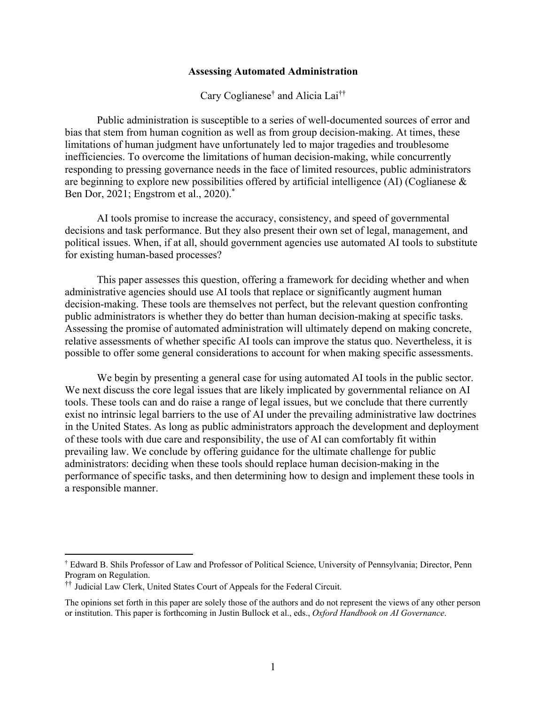## **Assessing Automated Administration**

Cary Coglianese† and Alicia Lai††

Public administration is susceptible to a series of well-documented sources of error and bias that stem from human cognition as well as from group decision-making. At times, these limitations of human judgment have unfortunately led to major tragedies and troublesome inefficiencies. To overcome the limitations of human decision-making, while concurrently responding to pressing governance needs in the face of limited resources, public administrators are beginning to explore new possibilities offered by artificial intelligence (AI) (Coglianese & Ben Dor, 2021; Engstrom et al., 2020). \*

AI tools promise to increase the accuracy, consistency, and speed of governmental decisions and task performance. But they also present their own set of legal, management, and political issues. When, if at all, should government agencies use automated AI tools to substitute for existing human-based processes?

This paper assesses this question, offering a framework for deciding whether and when administrative agencies should use AI tools that replace or significantly augment human decision-making. These tools are themselves not perfect, but the relevant question confronting public administrators is whether they do better than human decision-making at specific tasks. Assessing the promise of automated administration will ultimately depend on making concrete, relative assessments of whether specific AI tools can improve the status quo. Nevertheless, it is possible to offer some general considerations to account for when making specific assessments.

We begin by presenting a general case for using automated AI tools in the public sector. We next discuss the core legal issues that are likely implicated by governmental reliance on AI tools. These tools can and do raise a range of legal issues, but we conclude that there currently exist no intrinsic legal barriers to the use of AI under the prevailing administrative law doctrines in the United States. As long as public administrators approach the development and deployment of these tools with due care and responsibility, the use of AI can comfortably fit within prevailing law. We conclude by offering guidance for the ultimate challenge for public administrators: deciding when these tools should replace human decision-making in the performance of specific tasks, and then determining how to design and implement these tools in a responsible manner.

<sup>†</sup> Edward B. Shils Professor of Law and Professor of Political Science, University of Pennsylvania; Director, Penn Program on Regulation.

<sup>††</sup> Judicial Law Clerk, United States Court of Appeals for the Federal Circuit.

The opinions set forth in this paper are solely those of the authors and do not represent the views of any other person or institution. This paper is forthcoming in Justin Bullock et al., eds., *Oxford Handbook on AI Governance*.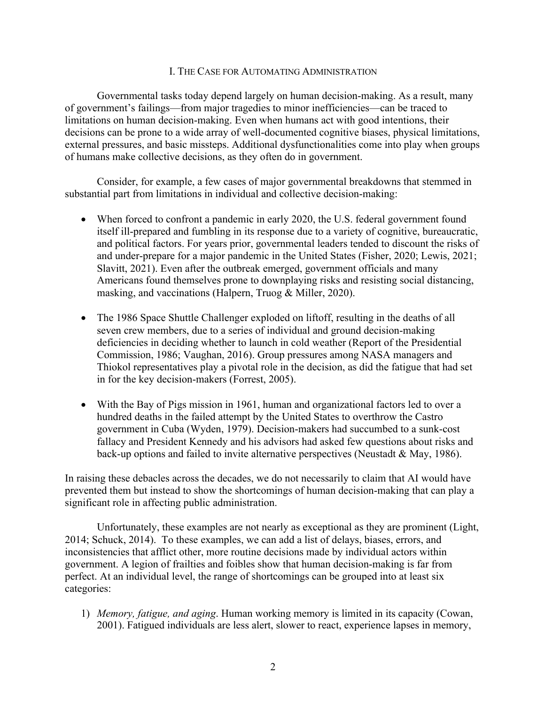### I. THE CASE FOR AUTOMATING ADMINISTRATION

Governmental tasks today depend largely on human decision-making. As a result, many of government's failings—from major tragedies to minor inefficiencies—can be traced to limitations on human decision-making. Even when humans act with good intentions, their decisions can be prone to a wide array of well-documented cognitive biases, physical limitations, external pressures, and basic missteps. Additional dysfunctionalities come into play when groups of humans make collective decisions, as they often do in government.

Consider, for example, a few cases of major governmental breakdowns that stemmed in substantial part from limitations in individual and collective decision-making:

- When forced to confront a pandemic in early 2020, the U.S. federal government found itself ill-prepared and fumbling in its response due to a variety of cognitive, bureaucratic, and political factors. For years prior, governmental leaders tended to discount the risks of and under-prepare for a major pandemic in the United States (Fisher, 2020; Lewis, 2021; Slavitt, 2021). Even after the outbreak emerged, government officials and many Americans found themselves prone to downplaying risks and resisting social distancing, masking, and vaccinations (Halpern, Truog & Miller, 2020).
- The 1986 Space Shuttle Challenger exploded on liftoff, resulting in the deaths of all seven crew members, due to a series of individual and ground decision-making deficiencies in deciding whether to launch in cold weather (Report of the Presidential Commission, 1986; Vaughan, 2016). Group pressures among NASA managers and Thiokol representatives play a pivotal role in the decision, as did the fatigue that had set in for the key decision-makers (Forrest, 2005).
- With the Bay of Pigs mission in 1961, human and organizational factors led to over a hundred deaths in the failed attempt by the United States to overthrow the Castro government in Cuba (Wyden, 1979). Decision-makers had succumbed to a sunk-cost fallacy and President Kennedy and his advisors had asked few questions about risks and back-up options and failed to invite alternative perspectives (Neustadt & May, 1986).

In raising these debacles across the decades, we do not necessarily to claim that AI would have prevented them but instead to show the shortcomings of human decision-making that can play a significant role in affecting public administration.

Unfortunately, these examples are not nearly as exceptional as they are prominent (Light, 2014; Schuck, 2014). To these examples, we can add a list of delays, biases, errors, and inconsistencies that afflict other, more routine decisions made by individual actors within government. A legion of frailties and foibles show that human decision-making is far from perfect. At an individual level, the range of shortcomings can be grouped into at least six categories:

1) *Memory, fatigue, and aging*. Human working memory is limited in its capacity (Cowan, 2001). Fatigued individuals are less alert, slower to react, experience lapses in memory,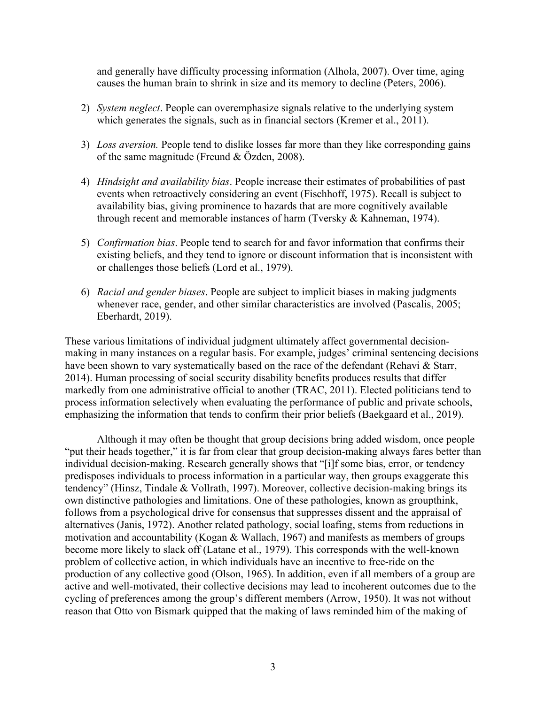and generally have difficulty processing information (Alhola, 2007). Over time, aging causes the human brain to shrink in size and its memory to decline (Peters, 2006).

- 2) *System neglect*. People can overemphasize signals relative to the underlying system which generates the signals, such as in financial sectors (Kremer et al., 2011).
- 3) *Loss aversion.* People tend to dislike losses far more than they like corresponding gains of the same magnitude (Freund & Özden, 2008).
- 4) *Hindsight and availability bias*. People increase their estimates of probabilities of past events when retroactively considering an event (Fischhoff, 1975). Recall is subject to availability bias, giving prominence to hazards that are more cognitively available through recent and memorable instances of harm (Tversky & Kahneman, 1974).
- 5) *Confirmation bias*. People tend to search for and favor information that confirms their existing beliefs, and they tend to ignore or discount information that is inconsistent with or challenges those beliefs (Lord et al., 1979).
- 6) *Racial and gender biases*. People are subject to implicit biases in making judgments whenever race, gender, and other similar characteristics are involved (Pascalis, 2005; Eberhardt, 2019).

These various limitations of individual judgment ultimately affect governmental decisionmaking in many instances on a regular basis. For example, judges' criminal sentencing decisions have been shown to vary systematically based on the race of the defendant (Rehavi & Starr, 2014). Human processing of social security disability benefits produces results that differ markedly from one administrative official to another (TRAC, 2011). Elected politicians tend to process information selectively when evaluating the performance of public and private schools, emphasizing the information that tends to confirm their prior beliefs (Baekgaard et al., 2019).

Although it may often be thought that group decisions bring added wisdom, once people "put their heads together," it is far from clear that group decision-making always fares better than individual decision-making. Research generally shows that "[i]f some bias, error, or tendency predisposes individuals to process information in a particular way, then groups exaggerate this tendency" (Hinsz, Tindale & Vollrath, 1997). Moreover, collective decision-making brings its own distinctive pathologies and limitations. One of these pathologies, known as groupthink, follows from a psychological drive for consensus that suppresses dissent and the appraisal of alternatives (Janis, 1972). Another related pathology, social loafing, stems from reductions in motivation and accountability (Kogan & Wallach, 1967) and manifests as members of groups become more likely to slack off (Latane et al., 1979). This corresponds with the well-known problem of collective action, in which individuals have an incentive to free-ride on the production of any collective good (Olson, 1965). In addition, even if all members of a group are active and well-motivated, their collective decisions may lead to incoherent outcomes due to the cycling of preferences among the group's different members (Arrow, 1950). It was not without reason that Otto von Bismark quipped that the making of laws reminded him of the making of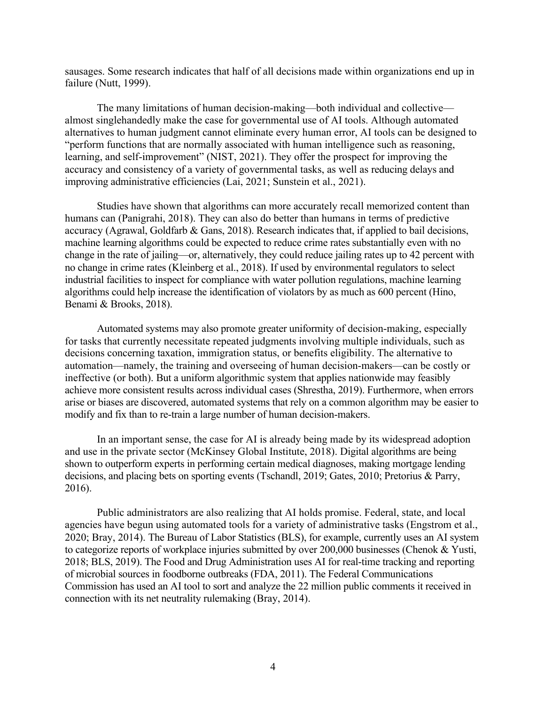sausages. Some research indicates that half of all decisions made within organizations end up in failure (Nutt, 1999).

The many limitations of human decision-making—both individual and collective almost singlehandedly make the case for governmental use of AI tools. Although automated alternatives to human judgment cannot eliminate every human error, AI tools can be designed to "perform functions that are normally associated with human intelligence such as reasoning, learning, and self-improvement" (NIST, 2021). They offer the prospect for improving the accuracy and consistency of a variety of governmental tasks, as well as reducing delays and improving administrative efficiencies (Lai, 2021; Sunstein et al., 2021).

Studies have shown that algorithms can more accurately recall memorized content than humans can (Panigrahi, 2018). They can also do better than humans in terms of predictive accuracy (Agrawal, Goldfarb & Gans, 2018). Research indicates that, if applied to bail decisions, machine learning algorithms could be expected to reduce crime rates substantially even with no change in the rate of jailing—or, alternatively, they could reduce jailing rates up to 42 percent with no change in crime rates (Kleinberg et al., 2018). If used by environmental regulators to select industrial facilities to inspect for compliance with water pollution regulations, machine learning algorithms could help increase the identification of violators by as much as 600 percent (Hino, Benami & Brooks, 2018).

Automated systems may also promote greater uniformity of decision-making, especially for tasks that currently necessitate repeated judgments involving multiple individuals, such as decisions concerning taxation, immigration status, or benefits eligibility. The alternative to automation—namely, the training and overseeing of human decision-makers—can be costly or ineffective (or both). But a uniform algorithmic system that applies nationwide may feasibly achieve more consistent results across individual cases (Shrestha, 2019). Furthermore, when errors arise or biases are discovered, automated systems that rely on a common algorithm may be easier to modify and fix than to re-train a large number of human decision-makers.

In an important sense, the case for AI is already being made by its widespread adoption and use in the private sector (McKinsey Global Institute, 2018). Digital algorithms are being shown to outperform experts in performing certain medical diagnoses, making mortgage lending decisions, and placing bets on sporting events (Tschandl, 2019; Gates, 2010; Pretorius & Parry, 2016).

Public administrators are also realizing that AI holds promise. Federal, state, and local agencies have begun using automated tools for a variety of administrative tasks (Engstrom et al., 2020; Bray, 2014). The Bureau of Labor Statistics (BLS), for example, currently uses an AI system to categorize reports of workplace injuries submitted by over 200,000 businesses (Chenok & Yusti, 2018; BLS, 2019). The Food and Drug Administration uses AI for real-time tracking and reporting of microbial sources in foodborne outbreaks (FDA, 2011). The Federal Communications Commission has used an AI tool to sort and analyze the 22 million public comments it received in connection with its net neutrality rulemaking (Bray, 2014).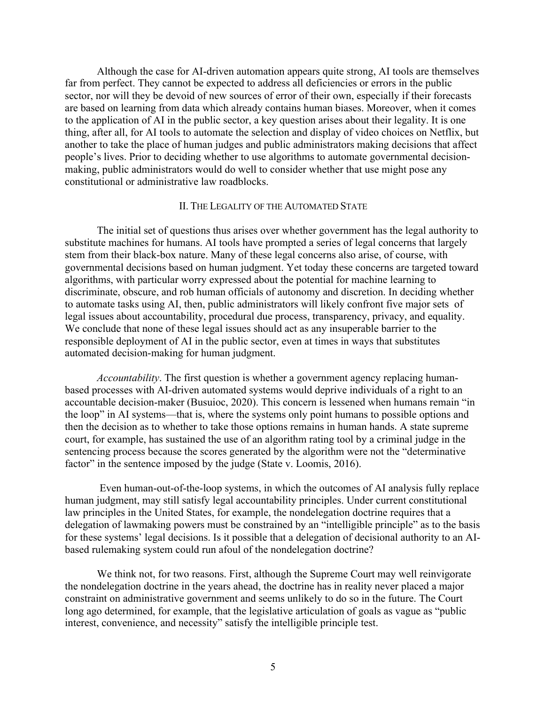Although the case for AI-driven automation appears quite strong, AI tools are themselves far from perfect. They cannot be expected to address all deficiencies or errors in the public sector, nor will they be devoid of new sources of error of their own, especially if their forecasts are based on learning from data which already contains human biases. Moreover, when it comes to the application of AI in the public sector, a key question arises about their legality. It is one thing, after all, for AI tools to automate the selection and display of video choices on Netflix, but another to take the place of human judges and public administrators making decisions that affect people's lives. Prior to deciding whether to use algorithms to automate governmental decisionmaking, public administrators would do well to consider whether that use might pose any constitutional or administrative law roadblocks.

## II. THE LEGALITY OF THE AUTOMATED STATE

The initial set of questions thus arises over whether government has the legal authority to substitute machines for humans. AI tools have prompted a series of legal concerns that largely stem from their black-box nature. Many of these legal concerns also arise, of course, with governmental decisions based on human judgment. Yet today these concerns are targeted toward algorithms, with particular worry expressed about the potential for machine learning to discriminate, obscure, and rob human officials of autonomy and discretion. In deciding whether to automate tasks using AI, then, public administrators will likely confront five major sets of legal issues about accountability, procedural due process, transparency, privacy, and equality. We conclude that none of these legal issues should act as any insuperable barrier to the responsible deployment of AI in the public sector, even at times in ways that substitutes automated decision-making for human judgment.

*Accountability*. The first question is whether a government agency replacing humanbased processes with AI-driven automated systems would deprive individuals of a right to an accountable decision-maker (Busuioc, 2020). This concern is lessened when humans remain "in the loop" in AI systems—that is, where the systems only point humans to possible options and then the decision as to whether to take those options remains in human hands. A state supreme court, for example, has sustained the use of an algorithm rating tool by a criminal judge in the sentencing process because the scores generated by the algorithm were not the "determinative factor" in the sentence imposed by the judge (State v. Loomis, 2016).

Even human-out-of-the-loop systems, in which the outcomes of AI analysis fully replace human judgment, may still satisfy legal accountability principles. Under current constitutional law principles in the United States, for example, the nondelegation doctrine requires that a delegation of lawmaking powers must be constrained by an "intelligible principle" as to the basis for these systems' legal decisions. Is it possible that a delegation of decisional authority to an AIbased rulemaking system could run afoul of the nondelegation doctrine?

We think not, for two reasons. First, although the Supreme Court may well reinvigorate the nondelegation doctrine in the years ahead, the doctrine has in reality never placed a major constraint on administrative government and seems unlikely to do so in the future. The Court long ago determined, for example, that the legislative articulation of goals as vague as "public interest, convenience, and necessity" satisfy the intelligible principle test.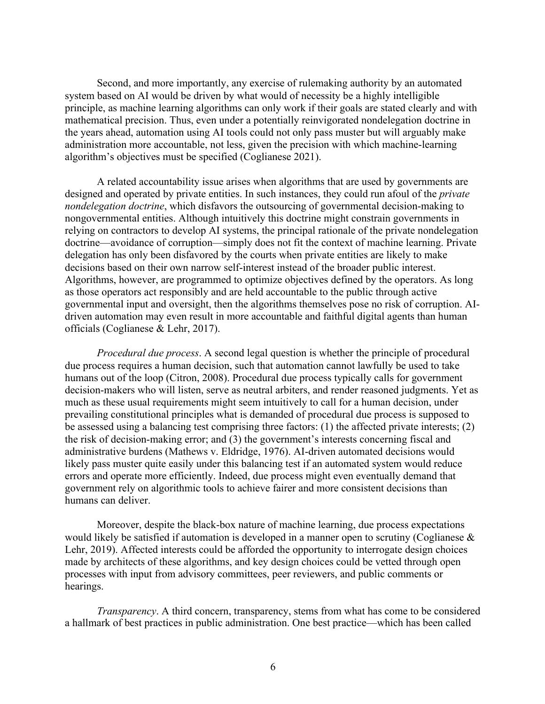Second, and more importantly, any exercise of rulemaking authority by an automated system based on AI would be driven by what would of necessity be a highly intelligible principle, as machine learning algorithms can only work if their goals are stated clearly and with mathematical precision. Thus, even under a potentially reinvigorated nondelegation doctrine in the years ahead, automation using AI tools could not only pass muster but will arguably make administration more accountable, not less, given the precision with which machine-learning algorithm's objectives must be specified (Coglianese 2021).

A related accountability issue arises when algorithms that are used by governments are designed and operated by private entities. In such instances, they could run afoul of the *private nondelegation doctrine*, which disfavors the outsourcing of governmental decision-making to nongovernmental entities. Although intuitively this doctrine might constrain governments in relying on contractors to develop AI systems, the principal rationale of the private nondelegation doctrine—avoidance of corruption—simply does not fit the context of machine learning. Private delegation has only been disfavored by the courts when private entities are likely to make decisions based on their own narrow self-interest instead of the broader public interest. Algorithms, however, are programmed to optimize objectives defined by the operators. As long as those operators act responsibly and are held accountable to the public through active governmental input and oversight, then the algorithms themselves pose no risk of corruption. AIdriven automation may even result in more accountable and faithful digital agents than human officials (Coglianese & Lehr, 2017).

*Procedural due process*. A second legal question is whether the principle of procedural due process requires a human decision, such that automation cannot lawfully be used to take humans out of the loop (Citron, 2008). Procedural due process typically calls for government decision-makers who will listen, serve as neutral arbiters, and render reasoned judgments. Yet as much as these usual requirements might seem intuitively to call for a human decision, under prevailing constitutional principles what is demanded of procedural due process is supposed to be assessed using a balancing test comprising three factors: (1) the affected private interests; (2) the risk of decision-making error; and (3) the government's interests concerning fiscal and administrative burdens (Mathews v. Eldridge, 1976). AI-driven automated decisions would likely pass muster quite easily under this balancing test if an automated system would reduce errors and operate more efficiently. Indeed, due process might even eventually demand that government rely on algorithmic tools to achieve fairer and more consistent decisions than humans can deliver.

Moreover, despite the black-box nature of machine learning, due process expectations would likely be satisfied if automation is developed in a manner open to scrutiny (Coglianese  $\&$ Lehr, 2019). Affected interests could be afforded the opportunity to interrogate design choices made by architects of these algorithms, and key design choices could be vetted through open processes with input from advisory committees, peer reviewers, and public comments or hearings.

*Transparency*. A third concern, transparency, stems from what has come to be considered a hallmark of best practices in public administration. One best practice—which has been called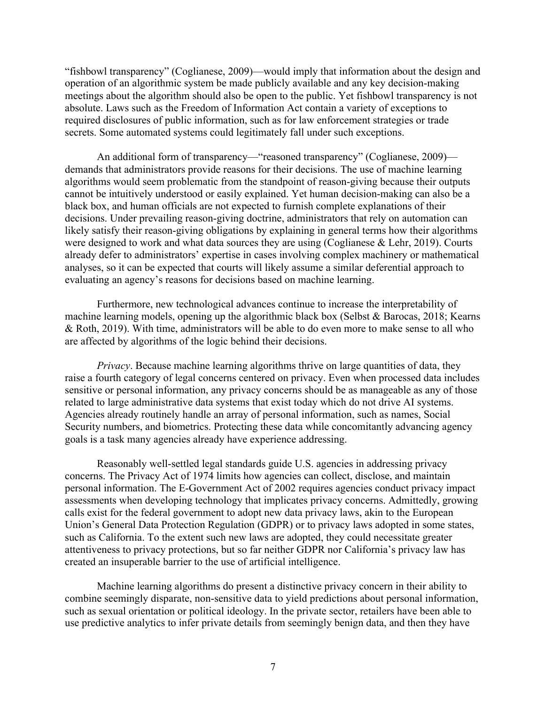"fishbowl transparency" (Coglianese, 2009)—would imply that information about the design and operation of an algorithmic system be made publicly available and any key decision-making meetings about the algorithm should also be open to the public. Yet fishbowl transparency is not absolute. Laws such as the Freedom of Information Act contain a variety of exceptions to required disclosures of public information, such as for law enforcement strategies or trade secrets. Some automated systems could legitimately fall under such exceptions.

An additional form of transparency—"reasoned transparency" (Coglianese, 2009) demands that administrators provide reasons for their decisions. The use of machine learning algorithms would seem problematic from the standpoint of reason-giving because their outputs cannot be intuitively understood or easily explained. Yet human decision-making can also be a black box, and human officials are not expected to furnish complete explanations of their decisions. Under prevailing reason-giving doctrine, administrators that rely on automation can likely satisfy their reason-giving obligations by explaining in general terms how their algorithms were designed to work and what data sources they are using (Coglianese & Lehr, 2019). Courts already defer to administrators' expertise in cases involving complex machinery or mathematical analyses, so it can be expected that courts will likely assume a similar deferential approach to evaluating an agency's reasons for decisions based on machine learning.

Furthermore, new technological advances continue to increase the interpretability of machine learning models, opening up the algorithmic black box (Selbst & Barocas, 2018; Kearns & Roth, 2019). With time, administrators will be able to do even more to make sense to all who are affected by algorithms of the logic behind their decisions.

*Privacy*. Because machine learning algorithms thrive on large quantities of data, they raise a fourth category of legal concerns centered on privacy. Even when processed data includes sensitive or personal information, any privacy concerns should be as manageable as any of those related to large administrative data systems that exist today which do not drive AI systems. Agencies already routinely handle an array of personal information, such as names, Social Security numbers, and biometrics. Protecting these data while concomitantly advancing agency goals is a task many agencies already have experience addressing.

Reasonably well-settled legal standards guide U.S. agencies in addressing privacy concerns. The Privacy Act of 1974 limits how agencies can collect, disclose, and maintain personal information. The E-Government Act of 2002 requires agencies conduct privacy impact assessments when developing technology that implicates privacy concerns. Admittedly, growing calls exist for the federal government to adopt new data privacy laws, akin to the European Union's General Data Protection Regulation (GDPR) or to privacy laws adopted in some states, such as California. To the extent such new laws are adopted, they could necessitate greater attentiveness to privacy protections, but so far neither GDPR nor California's privacy law has created an insuperable barrier to the use of artificial intelligence.

Machine learning algorithms do present a distinctive privacy concern in their ability to combine seemingly disparate, non-sensitive data to yield predictions about personal information, such as sexual orientation or political ideology. In the private sector, retailers have been able to use predictive analytics to infer private details from seemingly benign data, and then they have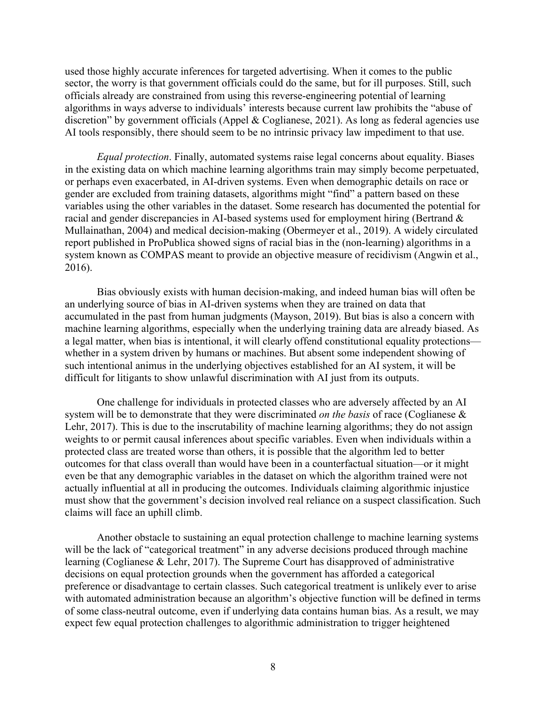used those highly accurate inferences for targeted advertising. When it comes to the public sector, the worry is that government officials could do the same, but for ill purposes. Still, such officials already are constrained from using this reverse-engineering potential of learning algorithms in ways adverse to individuals' interests because current law prohibits the "abuse of discretion" by government officials (Appel & Coglianese, 2021). As long as federal agencies use AI tools responsibly, there should seem to be no intrinsic privacy law impediment to that use.

*Equal protection*. Finally, automated systems raise legal concerns about equality. Biases in the existing data on which machine learning algorithms train may simply become perpetuated, or perhaps even exacerbated, in AI-driven systems. Even when demographic details on race or gender are excluded from training datasets, algorithms might "find" a pattern based on these variables using the other variables in the dataset. Some research has documented the potential for racial and gender discrepancies in AI-based systems used for employment hiring (Bertrand & Mullainathan, 2004) and medical decision-making (Obermeyer et al., 2019). A widely circulated report published in ProPublica showed signs of racial bias in the (non-learning) algorithms in a system known as COMPAS meant to provide an objective measure of recidivism (Angwin et al., 2016).

Bias obviously exists with human decision-making, and indeed human bias will often be an underlying source of bias in AI-driven systems when they are trained on data that accumulated in the past from human judgments (Mayson, 2019). But bias is also a concern with machine learning algorithms, especially when the underlying training data are already biased. As a legal matter, when bias is intentional, it will clearly offend constitutional equality protections whether in a system driven by humans or machines. But absent some independent showing of such intentional animus in the underlying objectives established for an AI system, it will be difficult for litigants to show unlawful discrimination with AI just from its outputs.

One challenge for individuals in protected classes who are adversely affected by an AI system will be to demonstrate that they were discriminated *on the basis* of race (Coglianese & Lehr, 2017). This is due to the inscrutability of machine learning algorithms; they do not assign weights to or permit causal inferences about specific variables. Even when individuals within a protected class are treated worse than others, it is possible that the algorithm led to better outcomes for that class overall than would have been in a counterfactual situation—or it might even be that any demographic variables in the dataset on which the algorithm trained were not actually influential at all in producing the outcomes. Individuals claiming algorithmic injustice must show that the government's decision involved real reliance on a suspect classification. Such claims will face an uphill climb.

Another obstacle to sustaining an equal protection challenge to machine learning systems will be the lack of "categorical treatment" in any adverse decisions produced through machine learning (Coglianese & Lehr, 2017). The Supreme Court has disapproved of administrative decisions on equal protection grounds when the government has afforded a categorical preference or disadvantage to certain classes. Such categorical treatment is unlikely ever to arise with automated administration because an algorithm's objective function will be defined in terms of some class-neutral outcome, even if underlying data contains human bias. As a result, we may expect few equal protection challenges to algorithmic administration to trigger heightened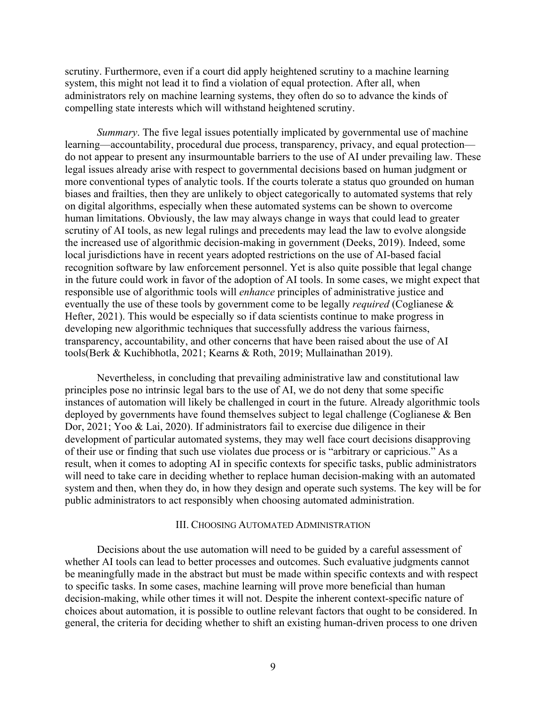scrutiny. Furthermore, even if a court did apply heightened scrutiny to a machine learning system, this might not lead it to find a violation of equal protection. After all, when administrators rely on machine learning systems, they often do so to advance the kinds of compelling state interests which will withstand heightened scrutiny.

*Summary*. The five legal issues potentially implicated by governmental use of machine learning—accountability, procedural due process, transparency, privacy, and equal protection do not appear to present any insurmountable barriers to the use of AI under prevailing law. These legal issues already arise with respect to governmental decisions based on human judgment or more conventional types of analytic tools. If the courts tolerate a status quo grounded on human biases and frailties, then they are unlikely to object categorically to automated systems that rely on digital algorithms, especially when these automated systems can be shown to overcome human limitations. Obviously, the law may always change in ways that could lead to greater scrutiny of AI tools, as new legal rulings and precedents may lead the law to evolve alongside the increased use of algorithmic decision-making in government (Deeks, 2019). Indeed, some local jurisdictions have in recent years adopted restrictions on the use of AI-based facial recognition software by law enforcement personnel. Yet is also quite possible that legal change in the future could work in favor of the adoption of AI tools. In some cases, we might expect that responsible use of algorithmic tools will *enhance* principles of administrative justice and eventually the use of these tools by government come to be legally *required* (Coglianese & Hefter, 2021). This would be especially so if data scientists continue to make progress in developing new algorithmic techniques that successfully address the various fairness, transparency, accountability, and other concerns that have been raised about the use of AI tools(Berk & Kuchibhotla, 2021; Kearns & Roth, 2019; Mullainathan 2019).

Nevertheless, in concluding that prevailing administrative law and constitutional law principles pose no intrinsic legal bars to the use of AI, we do not deny that some specific instances of automation will likely be challenged in court in the future. Already algorithmic tools deployed by governments have found themselves subject to legal challenge (Coglianese & Ben Dor, 2021; Yoo & Lai, 2020). If administrators fail to exercise due diligence in their development of particular automated systems, they may well face court decisions disapproving of their use or finding that such use violates due process or is "arbitrary or capricious." As a result, when it comes to adopting AI in specific contexts for specific tasks, public administrators will need to take care in deciding whether to replace human decision-making with an automated system and then, when they do, in how they design and operate such systems. The key will be for public administrators to act responsibly when choosing automated administration.

#### III. CHOOSING AUTOMATED ADMINISTRATION

Decisions about the use automation will need to be guided by a careful assessment of whether AI tools can lead to better processes and outcomes. Such evaluative judgments cannot be meaningfully made in the abstract but must be made within specific contexts and with respect to specific tasks. In some cases, machine learning will prove more beneficial than human decision-making, while other times it will not. Despite the inherent context-specific nature of choices about automation, it is possible to outline relevant factors that ought to be considered. In general, the criteria for deciding whether to shift an existing human-driven process to one driven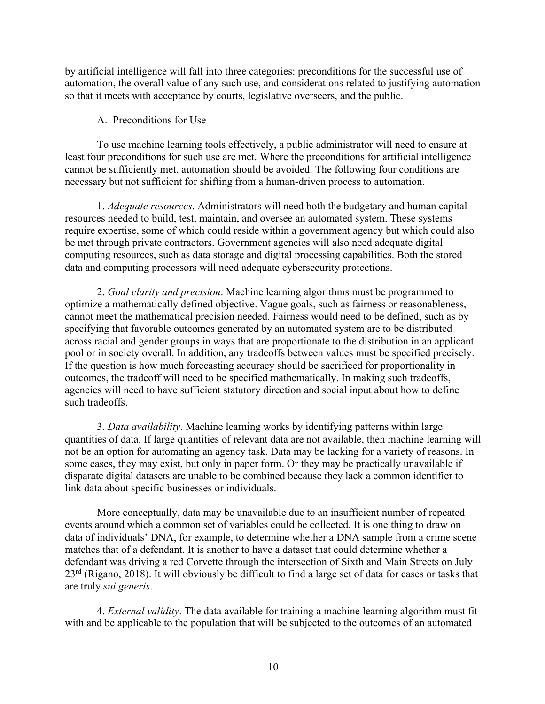by artificial intelligence will fall into three categories: preconditions for the successful use of automation, the overall value of any such use, and considerations related to justifying automation so that it meets with acceptance by courts, legislative overseers, and the public.

# A. Preconditions for Use

To use machine learning tools effectively, a public administrator will need to ensure at least four preconditions for such use are met. Where the preconditions for artificial intelligence cannot be sufficiently met, automation should be avoided. The following four conditions are necessary but not sufficient for shifting from a human-driven process to automation.

1. *Adequate resources*. Administrators will need both the budgetary and human capital resources needed to build, test, maintain, and oversee an automated system. These systems require expertise, some of which could reside within a government agency but which could also be met through private contractors. Government agencies will also need adequate digital computing resources, such as data storage and digital processing capabilities. Both the stored data and computing processors will need adequate cybersecurity protections.

2. *Goal clarity and precision*. Machine learning algorithms must be programmed to optimize a mathematically defined objective. Vague goals, such as fairness or reasonableness, cannot meet the mathematical precision needed. Fairness would need to be defined, such as by specifying that favorable outcomes generated by an automated system are to be distributed across racial and gender groups in ways that are proportionate to the distribution in an applicant pool or in society overall. In addition, any tradeoffs between values must be specified precisely. If the question is how much forecasting accuracy should be sacrificed for proportionality in outcomes, the tradeoff will need to be specified mathematically. In making such tradeoffs, agencies will need to have sufficient statutory direction and social input about how to define such tradeoffs.

3. *Data availability*. Machine learning works by identifying patterns within large quantities of data. If large quantities of relevant data are not available, then machine learning will not be an option for automating an agency task. Data may be lacking for a variety of reasons. In some cases, they may exist, but only in paper form. Or they may be practically unavailable if disparate digital datasets are unable to be combined because they lack a common identifier to link data about specific businesses or individuals.

More conceptually, data may be unavailable due to an insufficient number of repeated events around which a common set of variables could be collected. It is one thing to draw on data of individuals' DNA, for example, to determine whether a DNA sample from a crime scene matches that of a defendant. It is another to have a dataset that could determine whether a defendant was driving a red Corvette through the intersection of Sixth and Main Streets on July 23rd (Rigano, 2018). It will obviously be difficult to find a large set of data for cases or tasks that are truly *sui generis*.

4. *External validity*. The data available for training a machine learning algorithm must fit with and be applicable to the population that will be subjected to the outcomes of an automated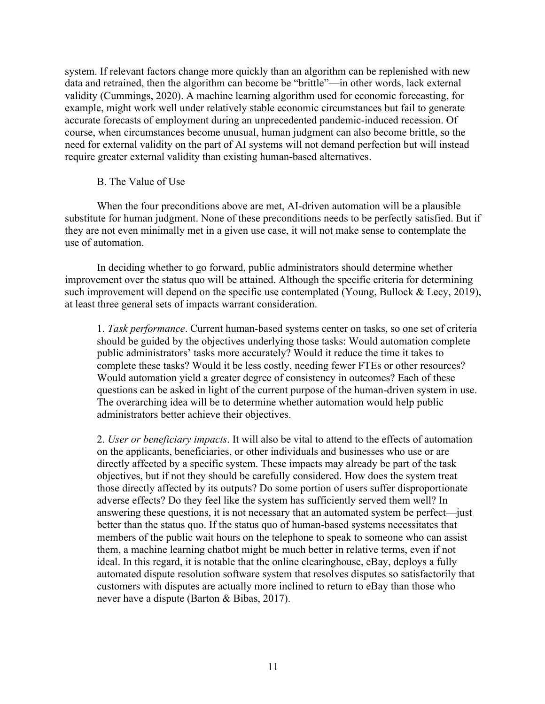system. If relevant factors change more quickly than an algorithm can be replenished with new data and retrained, then the algorithm can become be "brittle"—in other words, lack external validity (Cummings, 2020). A machine learning algorithm used for economic forecasting, for example, might work well under relatively stable economic circumstances but fail to generate accurate forecasts of employment during an unprecedented pandemic-induced recession. Of course, when circumstances become unusual, human judgment can also become brittle, so the need for external validity on the part of AI systems will not demand perfection but will instead require greater external validity than existing human-based alternatives.

## B. The Value of Use

When the four preconditions above are met, AI-driven automation will be a plausible substitute for human judgment. None of these preconditions needs to be perfectly satisfied. But if they are not even minimally met in a given use case, it will not make sense to contemplate the use of automation.

In deciding whether to go forward, public administrators should determine whether improvement over the status quo will be attained. Although the specific criteria for determining such improvement will depend on the specific use contemplated (Young, Bullock & Lecy, 2019), at least three general sets of impacts warrant consideration.

1. *Task performance*. Current human-based systems center on tasks, so one set of criteria should be guided by the objectives underlying those tasks: Would automation complete public administrators' tasks more accurately? Would it reduce the time it takes to complete these tasks? Would it be less costly, needing fewer FTEs or other resources? Would automation yield a greater degree of consistency in outcomes? Each of these questions can be asked in light of the current purpose of the human-driven system in use. The overarching idea will be to determine whether automation would help public administrators better achieve their objectives.

2. *User or beneficiary impacts*. It will also be vital to attend to the effects of automation on the applicants, beneficiaries, or other individuals and businesses who use or are directly affected by a specific system. These impacts may already be part of the task objectives, but if not they should be carefully considered. How does the system treat those directly affected by its outputs? Do some portion of users suffer disproportionate adverse effects? Do they feel like the system has sufficiently served them well? In answering these questions, it is not necessary that an automated system be perfect—just better than the status quo. If the status quo of human-based systems necessitates that members of the public wait hours on the telephone to speak to someone who can assist them, a machine learning chatbot might be much better in relative terms, even if not ideal. In this regard, it is notable that the online clearinghouse, eBay, deploys a fully automated dispute resolution software system that resolves disputes so satisfactorily that customers with disputes are actually more inclined to return to eBay than those who never have a dispute (Barton & Bibas, 2017).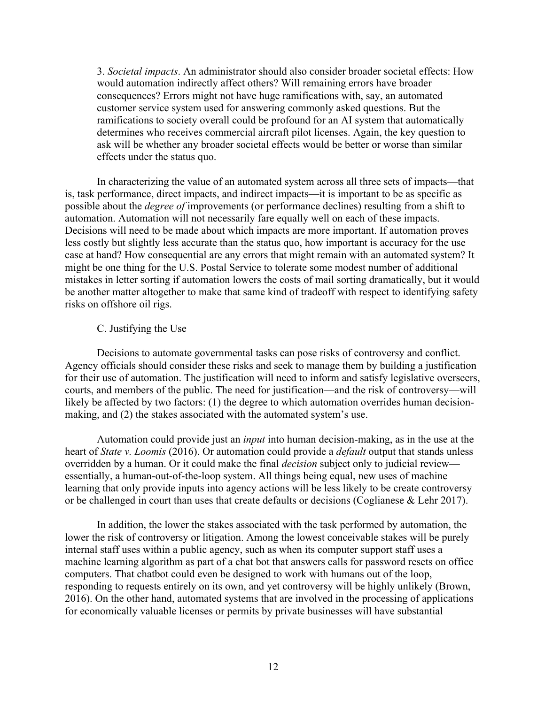3. *Societal impacts*. An administrator should also consider broader societal effects: How would automation indirectly affect others? Will remaining errors have broader consequences? Errors might not have huge ramifications with, say, an automated customer service system used for answering commonly asked questions. But the ramifications to society overall could be profound for an AI system that automatically determines who receives commercial aircraft pilot licenses. Again, the key question to ask will be whether any broader societal effects would be better or worse than similar effects under the status quo.

In characterizing the value of an automated system across all three sets of impacts—that is, task performance, direct impacts, and indirect impacts—it is important to be as specific as possible about the *degree of* improvements (or performance declines) resulting from a shift to automation. Automation will not necessarily fare equally well on each of these impacts. Decisions will need to be made about which impacts are more important. If automation proves less costly but slightly less accurate than the status quo, how important is accuracy for the use case at hand? How consequential are any errors that might remain with an automated system? It might be one thing for the U.S. Postal Service to tolerate some modest number of additional mistakes in letter sorting if automation lowers the costs of mail sorting dramatically, but it would be another matter altogether to make that same kind of tradeoff with respect to identifying safety risks on offshore oil rigs.

## C. Justifying the Use

Decisions to automate governmental tasks can pose risks of controversy and conflict. Agency officials should consider these risks and seek to manage them by building a justification for their use of automation. The justification will need to inform and satisfy legislative overseers, courts, and members of the public. The need for justification—and the risk of controversy—will likely be affected by two factors: (1) the degree to which automation overrides human decisionmaking, and (2) the stakes associated with the automated system's use.

Automation could provide just an *input* into human decision-making, as in the use at the heart of *State v. Loomis* (2016). Or automation could provide a *default* output that stands unless overridden by a human. Or it could make the final *decision* subject only to judicial review essentially, a human-out-of-the-loop system. All things being equal, new uses of machine learning that only provide inputs into agency actions will be less likely to be create controversy or be challenged in court than uses that create defaults or decisions (Coglianese & Lehr 2017).

In addition, the lower the stakes associated with the task performed by automation, the lower the risk of controversy or litigation. Among the lowest conceivable stakes will be purely internal staff uses within a public agency, such as when its computer support staff uses a machine learning algorithm as part of a chat bot that answers calls for password resets on office computers. That chatbot could even be designed to work with humans out of the loop, responding to requests entirely on its own, and yet controversy will be highly unlikely (Brown, 2016). On the other hand, automated systems that are involved in the processing of applications for economically valuable licenses or permits by private businesses will have substantial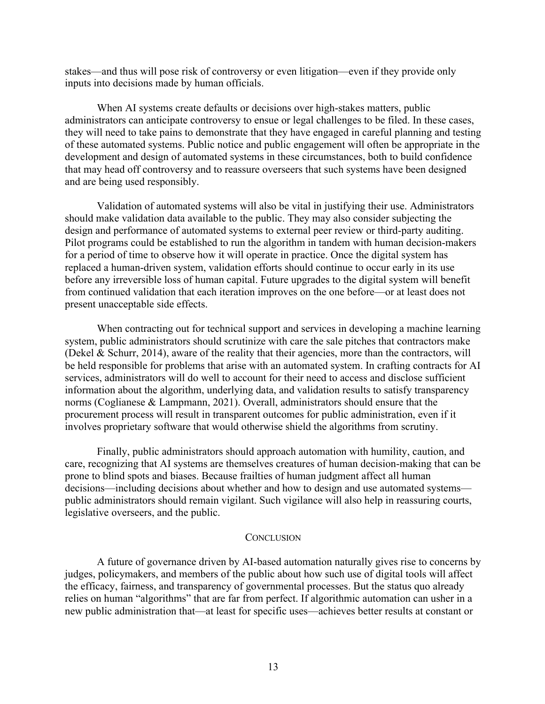stakes—and thus will pose risk of controversy or even litigation—even if they provide only inputs into decisions made by human officials.

When AI systems create defaults or decisions over high-stakes matters, public administrators can anticipate controversy to ensue or legal challenges to be filed. In these cases, they will need to take pains to demonstrate that they have engaged in careful planning and testing of these automated systems. Public notice and public engagement will often be appropriate in the development and design of automated systems in these circumstances, both to build confidence that may head off controversy and to reassure overseers that such systems have been designed and are being used responsibly.

Validation of automated systems will also be vital in justifying their use. Administrators should make validation data available to the public. They may also consider subjecting the design and performance of automated systems to external peer review or third-party auditing. Pilot programs could be established to run the algorithm in tandem with human decision-makers for a period of time to observe how it will operate in practice. Once the digital system has replaced a human-driven system, validation efforts should continue to occur early in its use before any irreversible loss of human capital. Future upgrades to the digital system will benefit from continued validation that each iteration improves on the one before—or at least does not present unacceptable side effects.

When contracting out for technical support and services in developing a machine learning system, public administrators should scrutinize with care the sale pitches that contractors make (Dekel & Schurr, 2014), aware of the reality that their agencies, more than the contractors, will be held responsible for problems that arise with an automated system. In crafting contracts for AI services, administrators will do well to account for their need to access and disclose sufficient information about the algorithm, underlying data, and validation results to satisfy transparency norms (Coglianese & Lampmann, 2021). Overall, administrators should ensure that the procurement process will result in transparent outcomes for public administration, even if it involves proprietary software that would otherwise shield the algorithms from scrutiny.

Finally, public administrators should approach automation with humility, caution, and care, recognizing that AI systems are themselves creatures of human decision-making that can be prone to blind spots and biases. Because frailties of human judgment affect all human decisions—including decisions about whether and how to design and use automated systems public administrators should remain vigilant. Such vigilance will also help in reassuring courts, legislative overseers, and the public.

#### **CONCLUSION**

A future of governance driven by AI-based automation naturally gives rise to concerns by judges, policymakers, and members of the public about how such use of digital tools will affect the efficacy, fairness, and transparency of governmental processes. But the status quo already relies on human "algorithms" that are far from perfect. If algorithmic automation can usher in a new public administration that—at least for specific uses—achieves better results at constant or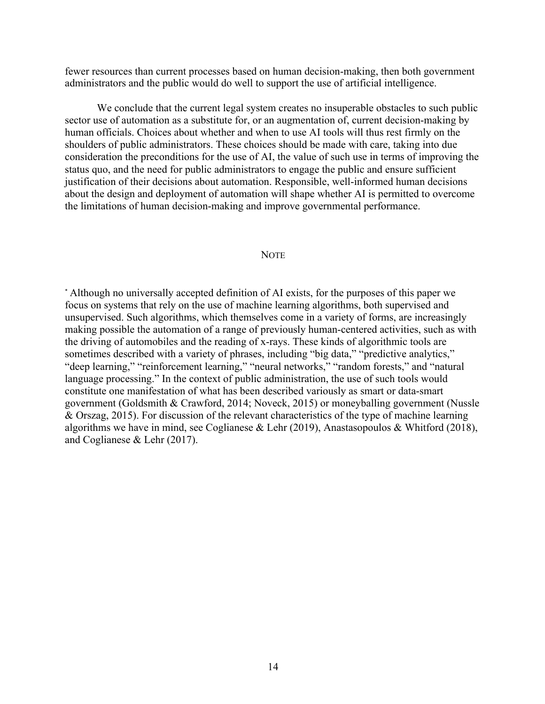fewer resources than current processes based on human decision-making, then both government administrators and the public would do well to support the use of artificial intelligence.

We conclude that the current legal system creates no insuperable obstacles to such public sector use of automation as a substitute for, or an augmentation of, current decision-making by human officials. Choices about whether and when to use AI tools will thus rest firmly on the shoulders of public administrators. These choices should be made with care, taking into due consideration the preconditions for the use of AI, the value of such use in terms of improving the status quo, and the need for public administrators to engage the public and ensure sufficient justification of their decisions about automation. Responsible, well-informed human decisions about the design and deployment of automation will shape whether AI is permitted to overcome the limitations of human decision-making and improve governmental performance.

#### NOTE

\* Although no universally accepted definition of AI exists, for the purposes of this paper we focus on systems that rely on the use of machine learning algorithms, both supervised and unsupervised. Such algorithms, which themselves come in a variety of forms, are increasingly making possible the automation of a range of previously human-centered activities, such as with the driving of automobiles and the reading of x-rays. These kinds of algorithmic tools are sometimes described with a variety of phrases, including "big data," "predictive analytics," "deep learning," "reinforcement learning," "neural networks," "random forests," and "natural language processing." In the context of public administration, the use of such tools would constitute one manifestation of what has been described variously as smart or data-smart government (Goldsmith & Crawford, 2014; Noveck, 2015) or moneyballing government (Nussle & Orszag, 2015). For discussion of the relevant characteristics of the type of machine learning algorithms we have in mind, see Coglianese & Lehr (2019), Anastasopoulos & Whitford (2018), and Coglianese & Lehr (2017).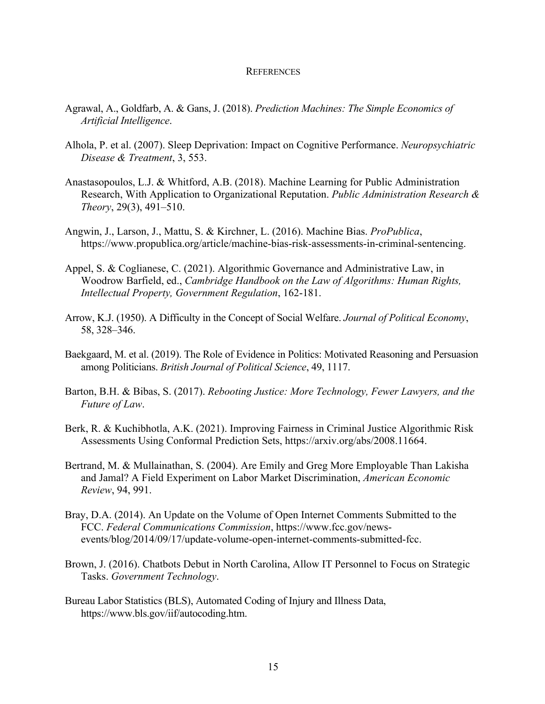#### **REFERENCES**

- Agrawal, A., Goldfarb, A. & Gans, J. (2018). *Prediction Machines: The Simple Economics of Artificial Intelligence*.
- Alhola, P. et al. (2007). Sleep Deprivation: Impact on Cognitive Performance. *Neuropsychiatric Disease & Treatment*, 3, 553.
- Anastasopoulos, L.J. & Whitford, A.B. (2018). Machine Learning for Public Administration Research, With Application to Organizational Reputation. *Public Administration Research & Theory*, 29(3), 491–510.
- Angwin, J., Larson, J., Mattu, S. & Kirchner, L. (2016). Machine Bias. *ProPublica*, https://www.propublica.org/article/machine-bias-risk-assessments-in-criminal-sentencing.
- Appel, S. & Coglianese, C. (2021). Algorithmic Governance and Administrative Law, in Woodrow Barfield, ed., *Cambridge Handbook on the Law of Algorithms: Human Rights, Intellectual Property, Government Regulation*, 162-181.
- Arrow, K.J. (1950). A Difficulty in the Concept of Social Welfare. *Journal of Political Economy*, 58, 328–346.
- Baekgaard, M. et al. (2019). The Role of Evidence in Politics: Motivated Reasoning and Persuasion among Politicians. *British Journal of Political Science*, 49, 1117.
- Barton, B.H. & Bibas, S. (2017). *Rebooting Justice: More Technology, Fewer Lawyers, and the Future of Law*.
- Berk, R. & Kuchibhotla, A.K. (2021). Improving Fairness in Criminal Justice Algorithmic Risk Assessments Using Conformal Prediction Sets, https://arxiv.org/abs/2008.11664.
- Bertrand, M. & Mullainathan, S. (2004). Are Emily and Greg More Employable Than Lakisha and Jamal? A Field Experiment on Labor Market Discrimination, *American Economic Review*, 94, 991.
- Bray, D.A. (2014). An Update on the Volume of Open Internet Comments Submitted to the FCC. *Federal Communications Commission*, https://www.fcc.gov/newsevents/blog/2014/09/17/update-volume-open-internet-comments-submitted-fcc.
- Brown, J. (2016). Chatbots Debut in North Carolina, Allow IT Personnel to Focus on Strategic Tasks. *Government Technology*.
- Bureau Labor Statistics (BLS), Automated Coding of Injury and Illness Data, https://www.bls.gov/iif/autocoding.htm.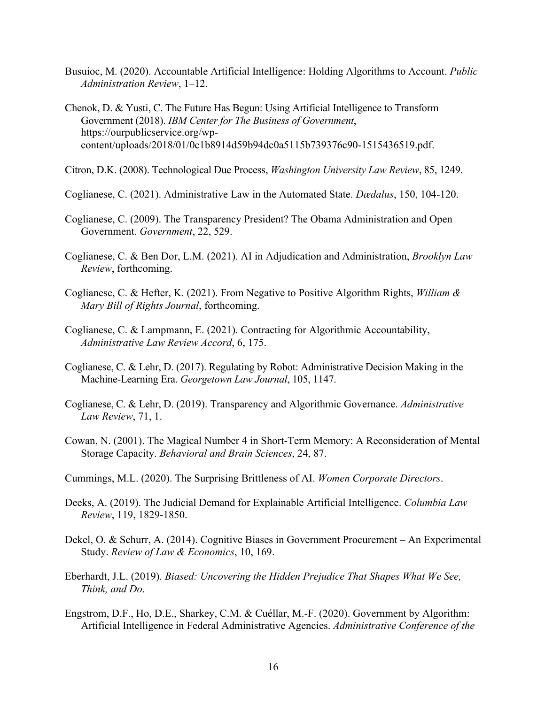- Busuioc, M. (2020). Accountable Artificial Intelligence: Holding Algorithms to Account. *Public Administration Review*, 1–12.
- Chenok, D. & Yusti, C. The Future Has Begun: Using Artificial Intelligence to Transform Government (2018). *IBM Center for The Business of Government*, https://ourpublicservice.org/wpcontent/uploads/2018/01/0c1b8914d59b94dc0a5115b739376c90-1515436519.pdf.

Citron, D.K. (2008). Technological Due Process, *Washington University Law Review*, 85, 1249.

Coglianese, C. (2021). Administrative Law in the Automated State. *Dædalus*, 150, 104-120.

- Coglianese, C. (2009). The Transparency President? The Obama Administration and Open Government. *Government*, 22, 529.
- Coglianese, C. & Ben Dor, L.M. (2021). AI in Adjudication and Administration, *Brooklyn Law Review*, forthcoming.
- Coglianese, C. & Hefter, K. (2021). From Negative to Positive Algorithm Rights, *William & Mary Bill of Rights Journal*, forthcoming.
- Coglianese, C. & Lampmann, E. (2021). Contracting for Algorithmic Accountability, *Administrative Law Review Accord*, 6, 175.
- Coglianese, C. & Lehr, D. (2017). Regulating by Robot: Administrative Decision Making in the Machine-Learning Era. *Georgetown Law Journal*, 105, 1147.
- Coglianese, C. & Lehr, D. (2019). Transparency and Algorithmic Governance. *Administrative Law Review*, 71, 1.
- Cowan, N. (2001). The Magical Number 4 in Short-Term Memory: A Reconsideration of Mental Storage Capacity. *Behavioral and Brain Sciences*, 24, 87.
- Cummings, M.L. (2020). The Surprising Brittleness of AI. *Women Corporate Directors*.
- Deeks, A. (2019). The Judicial Demand for Explainable Artificial Intelligence. *Columbia Law Review*, 119, 1829-1850.
- Dekel, O. & Schurr, A. (2014). Cognitive Biases in Government Procurement An Experimental Study. *Review of Law & Economics*, 10, 169.
- Eberhardt, J.L. (2019). *Biased: Uncovering the Hidden Prejudice That Shapes What We See, Think, and Do*.
- Engstrom, D.F., Ho, D.E., Sharkey, C.M. & Cuéllar, M.-F. (2020). Government by Algorithm: Artificial Intelligence in Federal Administrative Agencies. *Administrative Conference of the*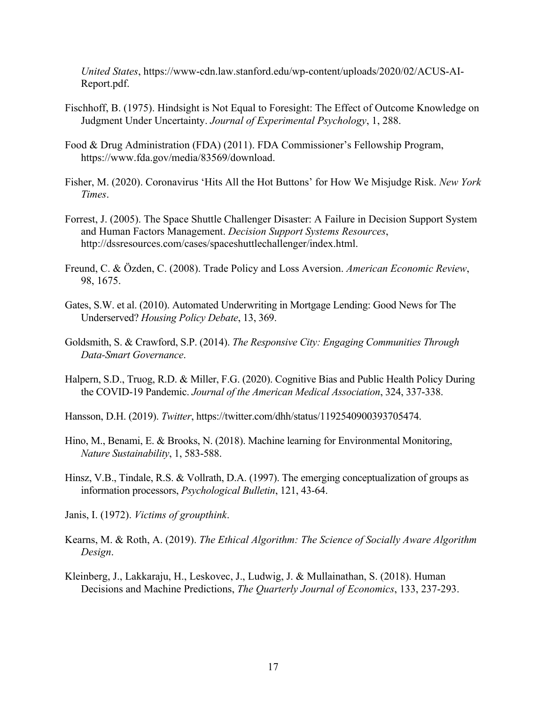*United States*, https://www-cdn.law.stanford.edu/wp-content/uploads/2020/02/ACUS-AI-Report.pdf.

- Fischhoff, B. (1975). Hindsight is Not Equal to Foresight: The Effect of Outcome Knowledge on Judgment Under Uncertainty. *Journal of Experimental Psychology*, 1, 288.
- Food & Drug Administration (FDA) (2011). FDA Commissioner's Fellowship Program, https://www.fda.gov/media/83569/download.
- Fisher, M. (2020). Coronavirus 'Hits All the Hot Buttons' for How We Misjudge Risk. *New York Times*.
- Forrest, J. (2005). The Space Shuttle Challenger Disaster: A Failure in Decision Support System and Human Factors Management. *Decision Support Systems Resources*, http://dssresources.com/cases/spaceshuttlechallenger/index.html.
- Freund, C. & Özden, C. (2008). Trade Policy and Loss Aversion. *American Economic Review*, 98, 1675.
- Gates, S.W. et al. (2010). Automated Underwriting in Mortgage Lending: Good News for The Underserved? *Housing Policy Debate*, 13, 369.
- Goldsmith, S. & Crawford, S.P. (2014). *The Responsive City: Engaging Communities Through Data-Smart Governance*.
- Halpern, S.D., Truog, R.D. & Miller, F.G. (2020). Cognitive Bias and Public Health Policy During the COVID-19 Pandemic. *Journal of the American Medical Association*, 324, 337-338.
- Hansson, D.H. (2019). *Twitter*, https://twitter.com/dhh/status/1192540900393705474.
- Hino, M., Benami, E. & Brooks, N. (2018). Machine learning for Environmental Monitoring, *Nature Sustainability*, 1, 583-588.
- Hinsz, V.B., Tindale, R.S. & Vollrath, D.A. (1997). The emerging conceptualization of groups as information processors, *Psychological Bulletin*, 121, 43-64.
- Janis, I. (1972). *Victims of groupthink*.
- Kearns, M. & Roth, A. (2019). *The Ethical Algorithm: The Science of Socially Aware Algorithm Design*.
- Kleinberg, J., Lakkaraju, H., Leskovec, J., Ludwig, J. & Mullainathan, S. (2018). Human Decisions and Machine Predictions, *The Quarterly Journal of Economics*, 133, 237-293.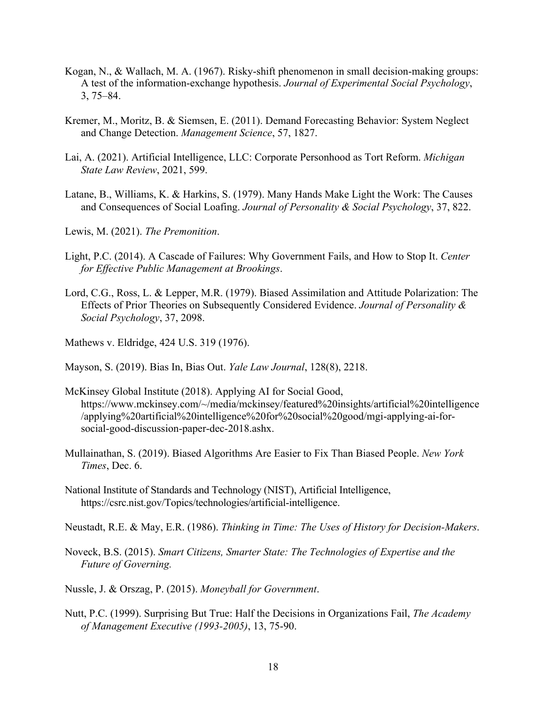- Kogan, N., & Wallach, M. A. (1967). Risky-shift phenomenon in small decision-making groups: A test of the information-exchange hypothesis. *Journal of Experimental Social Psychology*, 3, 75–84.
- Kremer, M., Moritz, B. & Siemsen, E. (2011). Demand Forecasting Behavior: System Neglect and Change Detection. *Management Science*, 57, 1827.
- Lai, A. (2021). Artificial Intelligence, LLC: Corporate Personhood as Tort Reform. *Michigan State Law Review*, 2021, 599.
- Latane, B., Williams, K. & Harkins, S. (1979). Many Hands Make Light the Work: The Causes and Consequences of Social Loafing. *Journal of Personality & Social Psychology*, 37, 822.
- Lewis, M. (2021). *The Premonition*.
- Light, P.C. (2014). A Cascade of Failures: Why Government Fails, and How to Stop It. *Center for Effective Public Management at Brookings*.
- Lord, C.G., Ross, L. & Lepper, M.R. (1979). Biased Assimilation and Attitude Polarization: The Effects of Prior Theories on Subsequently Considered Evidence. *Journal of Personality & Social Psychology*, 37, 2098.
- Mathews v. Eldridge, 424 U.S. 319 (1976).
- Mayson, S. (2019). Bias In, Bias Out. *Yale Law Journal*, 128(8), 2218.
- McKinsey Global Institute (2018). Applying AI for Social Good, https://www.mckinsey.com/~/media/mckinsey/featured%20insights/artificial%20intelligence /applying%20artificial%20intelligence%20for%20social%20good/mgi-applying-ai-forsocial-good-discussion-paper-dec-2018.ashx.
- Mullainathan, S. (2019). Biased Algorithms Are Easier to Fix Than Biased People. *New York Times*, Dec. 6.
- National Institute of Standards and Technology (NIST), Artificial Intelligence, https://csrc.nist.gov/Topics/technologies/artificial-intelligence.
- Neustadt, R.E. & May, E.R. (1986). *Thinking in Time: The Uses of History for Decision-Makers*.
- Noveck, B.S. (2015). *Smart Citizens, Smarter State: The Technologies of Expertise and the Future of Governing.*
- Nussle, J. & Orszag, P. (2015). *Moneyball for Government*.
- Nutt, P.C. (1999). Surprising But True: Half the Decisions in Organizations Fail, *The Academy of Management Executive (1993-2005)*, 13, 75-90.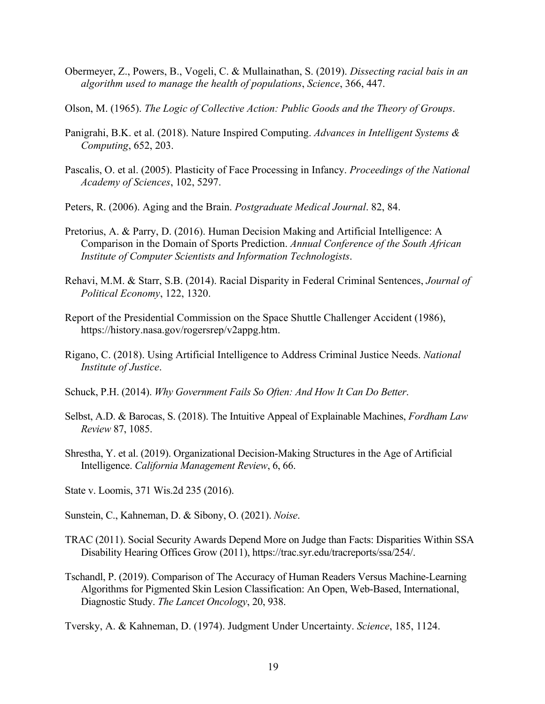- Obermeyer, Z., Powers, B., Vogeli, C. & Mullainathan, S. (2019). *Dissecting racial bais in an algorithm used to manage the health of populations*, *Science*, 366, 447.
- Olson, M. (1965). *The Logic of Collective Action: Public Goods and the Theory of Groups*.
- Panigrahi, B.K. et al. (2018). Nature Inspired Computing. *Advances in Intelligent Systems & Computing*, 652, 203.
- Pascalis, O. et al. (2005). Plasticity of Face Processing in Infancy. *Proceedings of the National Academy of Sciences*, 102, 5297.
- Peters, R. (2006). Aging and the Brain. *Postgraduate Medical Journal*. 82, 84.
- Pretorius, A. & Parry, D. (2016). Human Decision Making and Artificial Intelligence: A Comparison in the Domain of Sports Prediction. *Annual Conference of the South African Institute of Computer Scientists and Information Technologists*.
- Rehavi, M.M. & Starr, S.B. (2014). Racial Disparity in Federal Criminal Sentences, *Journal of Political Economy*, 122, 1320.
- Report of the Presidential Commission on the Space Shuttle Challenger Accident (1986), https://history.nasa.gov/rogersrep/v2appg.htm.
- Rigano, C. (2018). Using Artificial Intelligence to Address Criminal Justice Needs. *National Institute of Justice*.
- Schuck, P.H. (2014). *Why Government Fails So Often: And How It Can Do Better*.
- Selbst, A.D. & Barocas, S. (2018). The Intuitive Appeal of Explainable Machines, *Fordham Law Review* 87, 1085.
- Shrestha, Y. et al. (2019). Organizational Decision-Making Structures in the Age of Artificial Intelligence. *California Management Review*, 6, 66.
- State v. Loomis, 371 Wis.2d 235 (2016).
- Sunstein, C., Kahneman, D. & Sibony, O. (2021). *Noise*.
- TRAC (2011). Social Security Awards Depend More on Judge than Facts: Disparities Within SSA Disability Hearing Offices Grow (2011), https://trac.syr.edu/tracreports/ssa/254/.
- Tschandl, P. (2019). Comparison of The Accuracy of Human Readers Versus Machine-Learning Algorithms for Pigmented Skin Lesion Classification: An Open, Web-Based, International, Diagnostic Study. *The Lancet Oncology*, 20, 938.

Tversky, A. & Kahneman, D. (1974). Judgment Under Uncertainty. *Science*, 185, 1124.